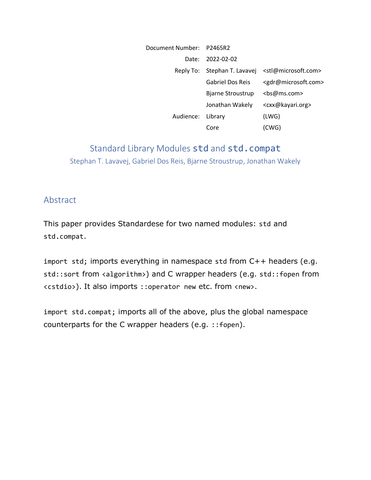| Document Number: P2465R2 |                              |                                         |
|--------------------------|------------------------------|-----------------------------------------|
| Date:                    | 2022-02-02                   |                                         |
|                          | Reply To: Stephan T. Lavavej | <stl@microsoft.com></stl@microsoft.com> |
|                          | <b>Gabriel Dos Reis</b>      | <gdr@microsoft.com></gdr@microsoft.com> |
|                          | Bjarne Stroustrup            | <bs@ms.com></bs@ms.com>                 |
|                          | Jonathan Wakely              | <cxx@kayari.org></cxx@kayari.org>       |
| Audience:                | Library                      | (LWG)                                   |
|                          | Core                         | (CWG)                                   |

# Standard Library Modules std and std.compat Stephan T. Lavavej, Gabriel Dos Reis, Bjarne Stroustrup, Jonathan Wakely

#### Abstract

This paper provides Standardese for two named modules: std and std.compat.

import std; imports everything in namespace std from C++ headers (e.g. std::sort from <algorithm>) and C wrapper headers (e.g. std::fopen from <cstdio>). It also imports ::operator new etc. from <new>.

import std.compat; imports all of the above, plus the global namespace counterparts for the C wrapper headers (e.g. ::fopen).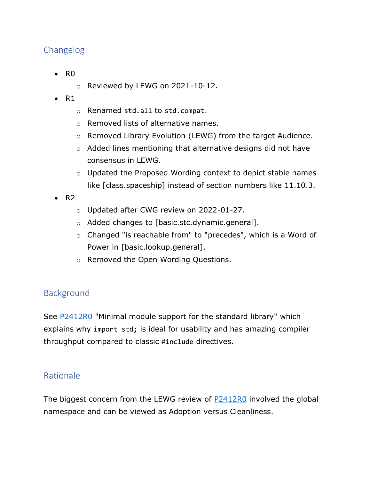# Changelog

- R0
	- o Reviewed by LEWG on 2021-10-12.
- $\bullet$  R1
	- o Renamed std.all to std.compat.
	- o Removed lists of alternative names.
	- o Removed Library Evolution (LEWG) from the target Audience.
	- o Added lines mentioning that alternative designs did not have consensus in LEWG.
	- o Updated the Proposed Wording context to depict stable names like [class.spaceship] instead of section numbers like 11.10.3.
- $\bullet$  R<sub>2</sub>
	- o Updated after CWG review on 2022-01-27.
	- o Added changes to [basic.stc.dynamic.general].
	- o Changed "is reachable from" to "precedes", which is a Word of Power in [basic.lookup.general].
	- o Removed the Open Wording Questions.

## Background

See [P2412R0](https://wg21.link/P2412R0) "Minimal module support for the standard library" which explains why import std; is ideal for usability and has amazing compiler throughput compared to classic #include directives.

### Rationale

The biggest concern from the LEWG review of **P2412R0** involved the global namespace and can be viewed as Adoption versus Cleanliness.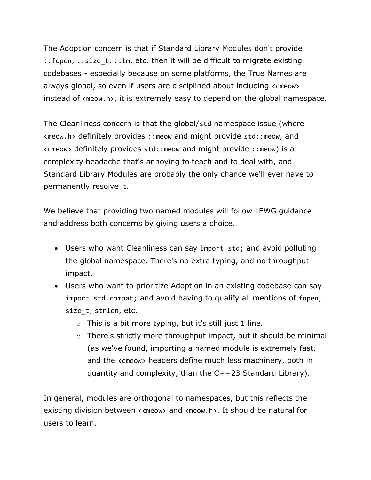The Adoption concern is that if Standard Library Modules don't provide ::fopen, ::size\_t, ::tm, etc. then it will be difficult to migrate existing codebases - especially because on some platforms, the True Names are always global, so even if users are disciplined about including <cmeow> instead of <meow.h>, it is extremely easy to depend on the global namespace.

The Cleanliness concern is that the global/std namespace issue (where <meow.h> definitely provides ::meow and might provide std::meow, and <cmeow> definitely provides std::meow and might provide ::meow) is a complexity headache that's annoying to teach and to deal with, and Standard Library Modules are probably the only chance we'll ever have to permanently resolve it.

We believe that providing two named modules will follow LEWG guidance and address both concerns by giving users a choice.

- Users who want Cleanliness can say import std; and avoid polluting the global namespace. There's no extra typing, and no throughput impact.
- Users who want to prioritize Adoption in an existing codebase can say import std.compat; and avoid having to qualify all mentions of fopen, size t, strlen, etc.
	- $\circ$  This is a bit more typing, but it's still just 1 line.
	- o There's strictly more throughput impact, but it should be minimal (as we've found, importing a named module is extremely fast, and the <cmeow> headers define much less machinery, both in quantity and complexity, than the C++23 Standard Library).

In general, modules are orthogonal to namespaces, but this reflects the existing division between <cmeow> and <meow.h>. It should be natural for users to learn.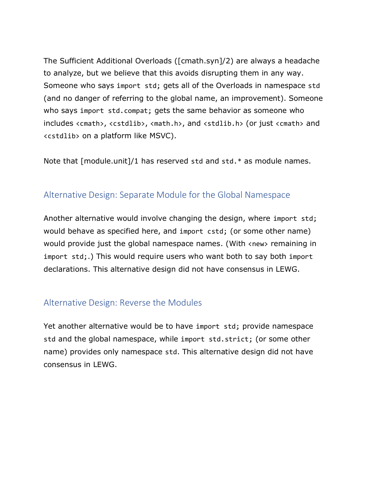The Sufficient Additional Overloads ([cmath.syn]/2) are always a headache to analyze, but we believe that this avoids disrupting them in any way. Someone who says import std; gets all of the Overloads in namespace std (and no danger of referring to the global name, an improvement). Someone who says import std.compat; gets the same behavior as someone who includes <cmath>, <cstdlib>, <math.h>, and <stdlib.h> (or just <cmath> and <cstdlib> on a platform like MSVC).

Note that [module.unit]/1 has reserved std and std.\* as module names.

#### Alternative Design: Separate Module for the Global Namespace

Another alternative would involve changing the design, where import std; would behave as specified here, and import cstd; (or some other name) would provide just the global namespace names. (With <new> remaining in import std;.) This would require users who want both to say both import declarations. This alternative design did not have consensus in LEWG.

### Alternative Design: Reverse the Modules

Yet another alternative would be to have import std; provide namespace std and the global namespace, while import std.strict; (or some other name) provides only namespace std. This alternative design did not have consensus in LEWG.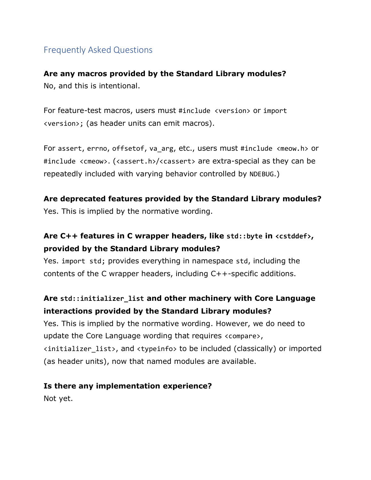## Frequently Asked Questions

**Are any macros provided by the Standard Library modules?** No, and this is intentional.

For feature-test macros, users must #include <version> or import <version>; (as header units can emit macros).

For assert, errno, offsetof, va arg, etc., users must #include <meow.h> or #include <cmeow>. (<assert.h>/<cassert> are extra-special as they can be repeatedly included with varying behavior controlled by NDEBUG.)

## **Are deprecated features provided by the Standard Library modules?**

Yes. This is implied by the normative wording.

# **Are C++ features in C wrapper headers, like std::byte in <cstddef>, provided by the Standard Library modules?**

Yes. import std; provides everything in namespace std, including the contents of the C wrapper headers, including C++-specific additions.

## **Are std::initializer\_list and other machinery with Core Language interactions provided by the Standard Library modules?**

Yes. This is implied by the normative wording. However, we do need to update the Core Language wording that requires <compare>, <initializer\_list>, and <typeinfo> to be included (classically) or imported (as header units), now that named modules are available.

#### **Is there any implementation experience?**

Not yet.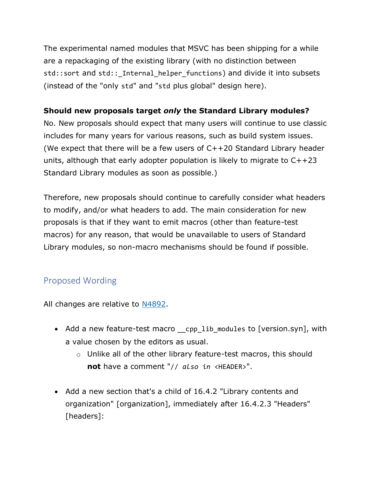The experimental named modules that MSVC has been shipping for a while are a repackaging of the existing library (with no distinction between std::sort and std:: Internal helper functions) and divide it into subsets (instead of the "only std" and "std plus global" design here).

#### **Should new proposals target** *only* **the Standard Library modules?**

No. New proposals should expect that many users will continue to use classic includes for many years for various reasons, such as build system issues. (We expect that there will be a few users of C++20 Standard Library header units, although that early adopter population is likely to migrate to C++23 Standard Library modules as soon as possible.)

Therefore, new proposals should continue to carefully consider what headers to modify, and/or what headers to add. The main consideration for new proposals is that if they want to emit macros (other than feature-test macros) for any reason, that would be unavailable to users of Standard Library modules, so non-macro mechanisms should be found if possible.

# Proposed Wording

All changes are relative to [N4892.](https://wg21.link/N4892)

- Add a new feature-test macro \_\_cpp\_lib\_modules to [version.syn], with a value chosen by the editors as usual.
	- o Unlike all of the other library feature-test macros, this should **not** have a comment "// *also in* <HEADER>".
- Add a new section that's a child of 16.4.2 "Library contents and organization" [organization], immediately after 16.4.2.3 "Headers" [headers]: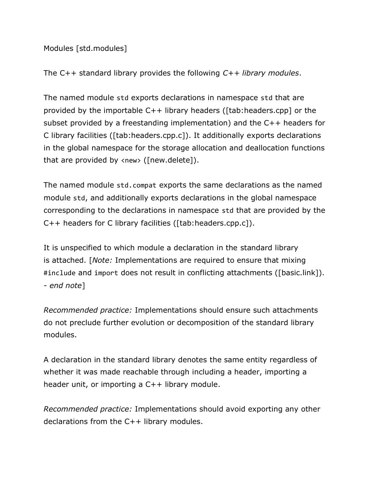Modules [std.modules]

The C++ standard library provides the following *C++ library modules*.

The named module std exports declarations in namespace std that are provided by the importable C++ library headers ([tab:headers.cpp] or the subset provided by a freestanding implementation) and the C++ headers for C library facilities ([tab:headers.cpp.c]). It additionally exports declarations in the global namespace for the storage allocation and deallocation functions that are provided by <new> ([new.delete]).

The named module std.compat exports the same declarations as the named module std, and additionally exports declarations in the global namespace corresponding to the declarations in namespace std that are provided by the C++ headers for C library facilities ([tab:headers.cpp.c]).

It is unspecified to which module a declaration in the standard library is attached. [*Note:* Implementations are required to ensure that mixing #include and import does not result in conflicting attachments ([basic.link]). *- end note*]

*Recommended practice:* Implementations should ensure such attachments do not preclude further evolution or decomposition of the standard library modules.

A declaration in the standard library denotes the same entity regardless of whether it was made reachable through including a header, importing a header unit, or importing a C++ library module.

*Recommended practice:* Implementations should avoid exporting any other declarations from the C++ library modules.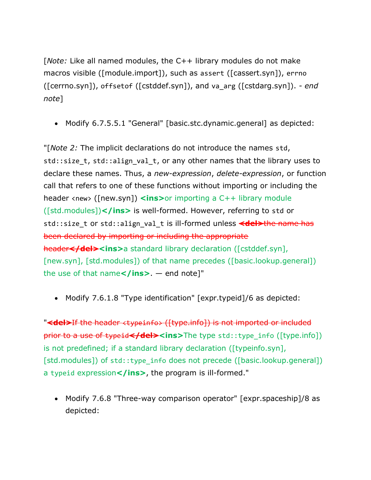[*Note:* Like all named modules, the C++ library modules do not make macros visible ([module.import]), such as assert ([cassert.syn]), errno ([cerrno.syn]), offsetof ([cstddef.syn]), and va\_arg ([cstdarg.syn]). *- end note*]

• Modify 6.7.5.5.1 "General" [basic.stc.dynamic.general] as depicted:

"[*Note 2:* The implicit declarations do not introduce the names std, std::size t, std::align val t, or any other names that the library uses to declare these names. Thus, a *new-expression*, *delete-expression*, or function call that refers to one of these functions without importing or including the header <new> ([new.syn]) **<ins>**or importing a C++ library module ([std.modules])**</ins>** is well-formed. However, referring to std or std::size t or std::align val t is ill-formed unless <del>the name has</del> been declared by importing or including the appropriate header<sup></del><ins>a standard library declaration ([cstddef.syn],</sup> [new.syn], [std.modules]) of that name precedes ([basic.lookup.general]) the use of that name**</ins>**. — end note]"

• Modify 7.6.1.8 "Type identification" [expr.typeid]/6 as depicted:

"**<del>**If the header <typeinfo> ([type.info]) is not imported or included prior to a use of typeid**</del><ins>**The type std::type\_info ([type.info]) is not predefined; if a standard library declaration ([typeinfo.syn], [std.modules]) of std::type info does not precede ([basic.lookup.general]) a typeid expression**</ins>**, the program is ill-formed."

• Modify 7.6.8 "Three-way comparison operator" [expr.spaceship]/8 as depicted: